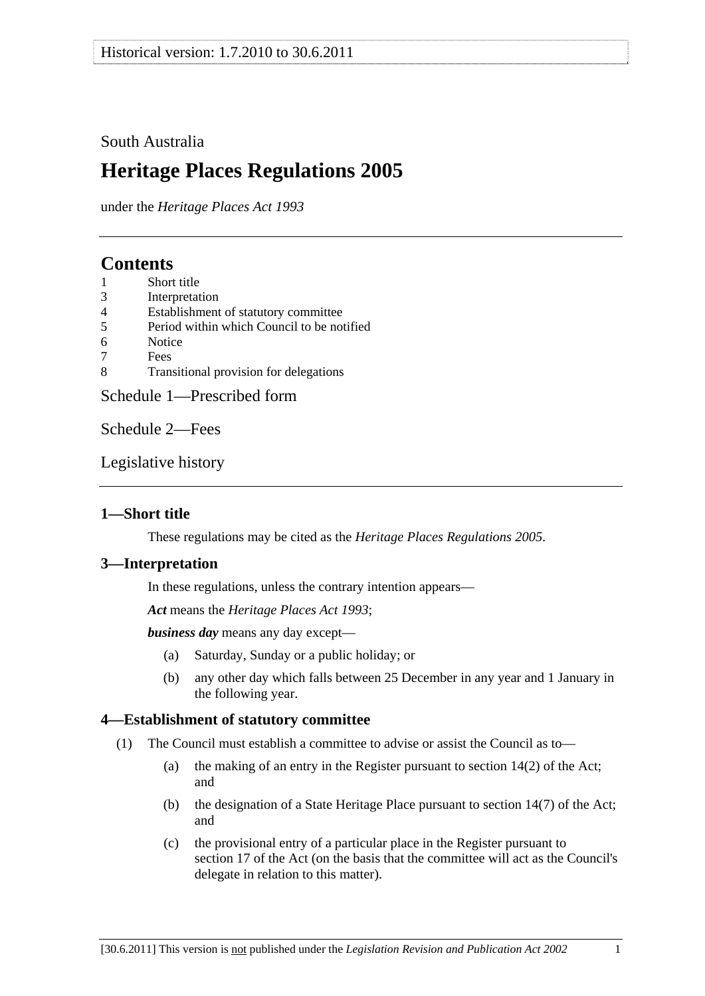# <span id="page-0-0"></span>South Australia

# **Heritage Places Regulations 2005**

under the *Heritage Places Act 1993*

# **Contents**

- [1 Short title](#page-0-0)
- [3 Interpretation](#page-0-0)
- [4 Establishment of statutory committee](#page-0-0)
- [5 Period within which Council to be notified](#page-1-0)
- [6 Notice](#page-1-0)
- [7 Fees](#page-1-0)
- [8 Transitional provision for delegations](#page-1-0)

[Schedule 1—Prescribed form](#page-2-0) 

[Schedule 2—Fees](#page-5-0) 

[Legislative history](#page-6-0) 

# **1—Short title**

These regulations may be cited as the *Heritage Places Regulations 2005*.

### **3—Interpretation**

In these regulations, unless the contrary intention appears—

*Act* means the *[Heritage Places Act 1993](http://www.legislation.sa.gov.au/index.aspx?action=legref&type=act&legtitle=Heritage%20Places%20Act%201993)*;

*business day* means any day except—

- (a) Saturday, Sunday or a public holiday; or
- (b) any other day which falls between 25 December in any year and 1 January in the following year.

# **4—Establishment of statutory committee**

- (1) The Council must establish a committee to advise or assist the Council as to—
	- (a) the making of an entry in the Register pursuant to section 14(2) of the Act; and
	- (b) the designation of a State Heritage Place pursuant to section 14(7) of the Act; and
	- (c) the provisional entry of a particular place in the Register pursuant to section 17 of the Act (on the basis that the committee will act as the Council's delegate in relation to this matter).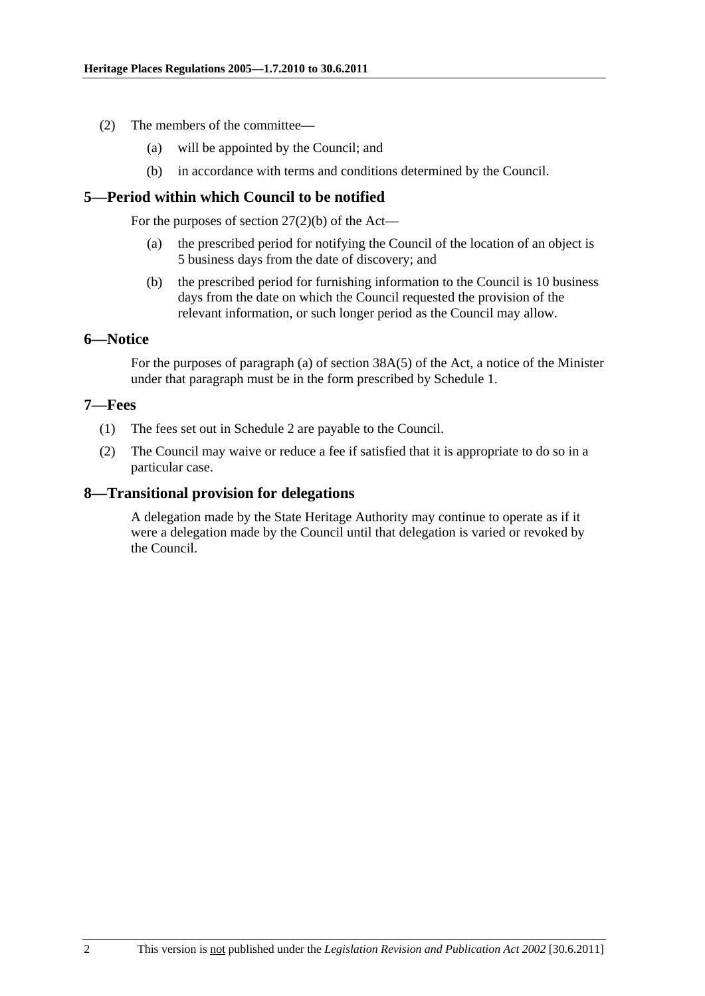- <span id="page-1-0"></span> (2) The members of the committee—
	- (a) will be appointed by the Council; and
	- (b) in accordance with terms and conditions determined by the Council.

### **5—Period within which Council to be notified**

For the purposes of section  $27(2)(b)$  of the Act—

- (a) the prescribed period for notifying the Council of the location of an object is 5 business days from the date of discovery; and
- (b) the prescribed period for furnishing information to the Council is 10 business days from the date on which the Council requested the provision of the relevant information, or such longer period as the Council may allow.

#### **6—Notice**

For the purposes of paragraph (a) of section 38A(5) of the Act, a notice of the Minister under that paragraph must be in the form prescribed by [Schedule 1.](#page-2-0)

#### **7—Fees**

- (1) The fees set out in [Schedule 2](#page-5-0) are payable to the Council.
- (2) The Council may waive or reduce a fee if satisfied that it is appropriate to do so in a particular case.

### **8—Transitional provision for delegations**

A delegation made by the State Heritage Authority may continue to operate as if it were a delegation made by the Council until that delegation is varied or revoked by the Council.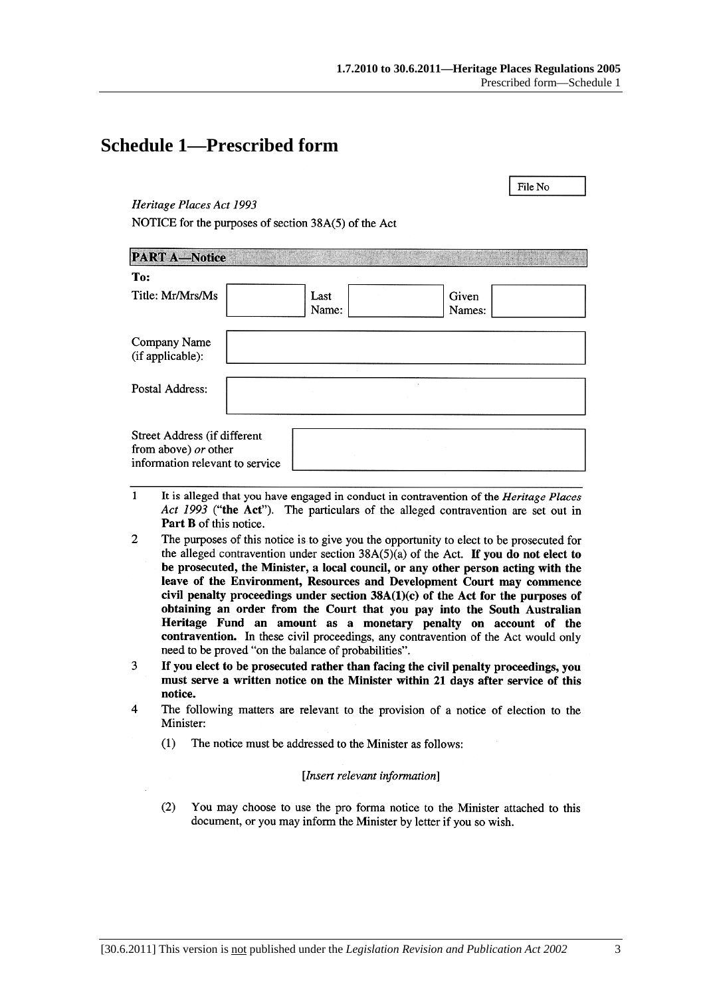File No

# <span id="page-2-0"></span>**Schedule 1—Prescribed form**

#### Heritage Places Act 1993

NOTICE for the purposes of section 38A(5) of the Act

| <b>PART A-Notice</b>                                                                    |               |                 |  |
|-----------------------------------------------------------------------------------------|---------------|-----------------|--|
| To:                                                                                     |               |                 |  |
| Title: Mr/Mrs/Ms                                                                        | Last<br>Name: | Given<br>Names: |  |
| Company Name<br>(if applicable):                                                        |               |                 |  |
| Postal Address:                                                                         |               |                 |  |
| Street Address (if different<br>from above) or other<br>information relevant to service |               |                 |  |

- $\mathbf{1}$ It is alleged that you have engaged in conduct in contravention of the *Heritage Places* Act 1993 ("the Act"). The particulars of the alleged contravention are set out in Part B of this notice.
- $\overline{2}$ The purposes of this notice is to give you the opportunity to elect to be prosecuted for the alleged contravention under section  $38A(5)(a)$  of the Act. If you do not elect to be prosecuted, the Minister, a local council, or any other person acting with the leave of the Environment, Resources and Development Court may commence civil penalty proceedings under section  $38A(1)(c)$  of the Act for the purposes of obtaining an order from the Court that you pay into the South Australian Heritage Fund an amount as a monetary penalty on account of the contravention. In these civil proceedings, any contravention of the Act would only need to be proved "on the balance of probabilities".
- If you elect to be prosecuted rather than facing the civil penalty proceedings, you 3 must serve a written notice on the Minister within 21 days after service of this notice.
- $\overline{A}$ The following matters are relevant to the provision of a notice of election to the Minister:
	- $(1)$ The notice must be addressed to the Minister as follows:

#### [Insert relevant information]

 $(2)$ You may choose to use the pro forma notice to the Minister attached to this document, or you may inform the Minister by letter if you so wish.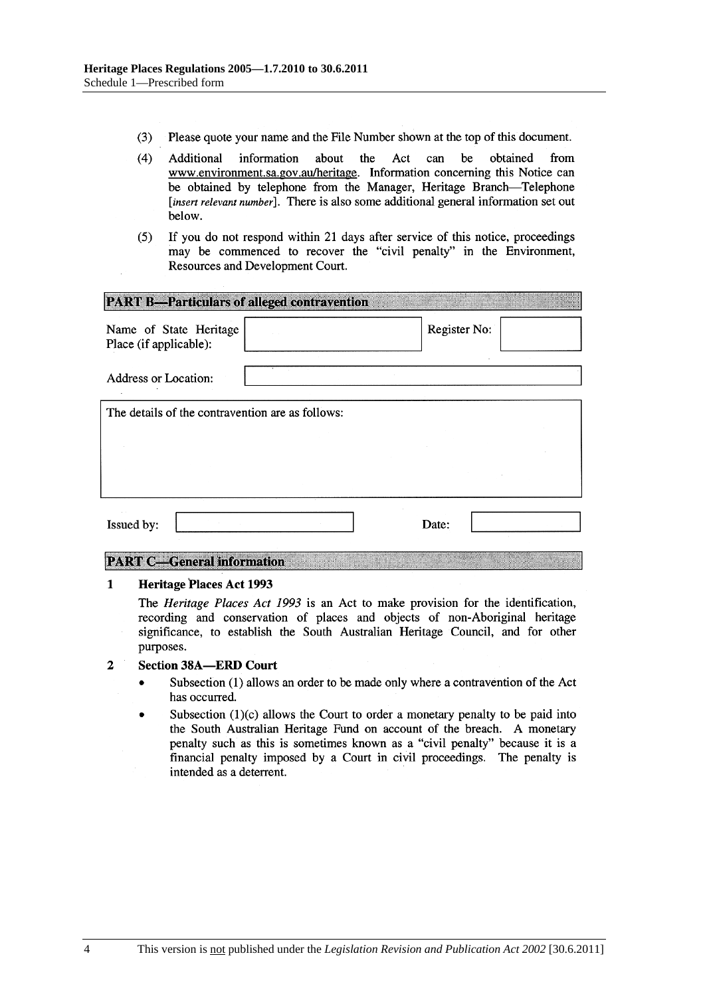- $(3)$ Please quote your name and the File Number shown at the top of this document.
- $(4)$ be Additional information about the Act can obtained from www.environment.sa.gov.au/heritage. Information concerning this Notice can be obtained by telephone from the Manager, Heritage Branch-Telephone [insert relevant number]. There is also some additional general information set out below.
- If you do not respond within 21 days after service of this notice, proceedings  $(5)$ may be commenced to recover the "civil penalty" in the Environment, Resources and Development Court.

| <b>PART B-Particulars of alleged contravention</b> |  |              |  |  |  |
|----------------------------------------------------|--|--------------|--|--|--|
| Name of State Heritage<br>Place (if applicable):   |  | Register No: |  |  |  |
| <b>Address or Location:</b>                        |  |              |  |  |  |
| The details of the contravention are as follows:   |  |              |  |  |  |
|                                                    |  |              |  |  |  |
|                                                    |  |              |  |  |  |
| Issued by:                                         |  | Date:        |  |  |  |

#### **PART C-General information**

#### $\mathbf{1}$ **Heritage Places Act 1993**

The Heritage Places Act 1993 is an Act to make provision for the identification, recording and conservation of places and objects of non-Aboriginal heritage significance, to establish the South Australian Heritage Council, and for other purposes.

#### $\overline{2}$ **Section 38A-ERD Court**

- Subsection (1) allows an order to be made only where a contravention of the Act has occurred.
- Subsection  $(1)(c)$  allows the Court to order a monetary penalty to be paid into the South Australian Heritage Fund on account of the breach. A monetary penalty such as this is sometimes known as a "civil penalty" because it is a financial penalty imposed by a Court in civil proceedings. The penalty is intended as a deterrent.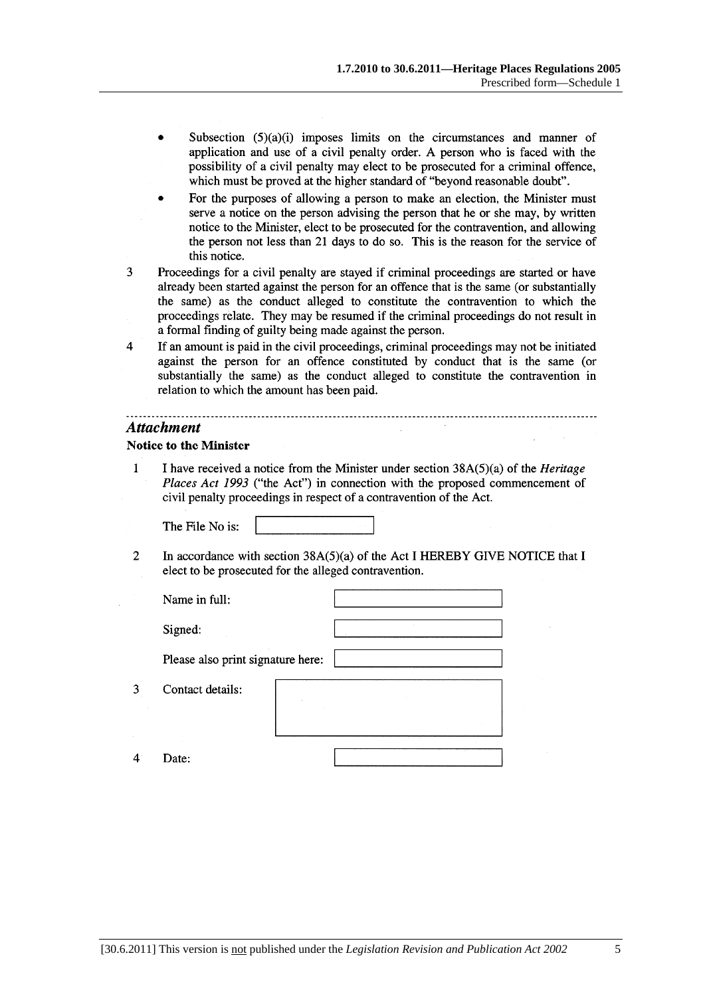- Subsection  $(5)(a)(i)$  imposes limits on the circumstances and manner of application and use of a civil penalty order. A person who is faced with the possibility of a civil penalty may elect to be prosecuted for a criminal offence, which must be proved at the higher standard of "beyond reasonable doubt".
- For the purposes of allowing a person to make an election, the Minister must serve a notice on the person advising the person that he or she may, by written notice to the Minister, elect to be prosecuted for the contravention, and allowing the person not less than 21 days to do so. This is the reason for the service of this notice.
- 3 Proceedings for a civil penalty are stayed if criminal proceedings are started or have already been started against the person for an offence that is the same (or substantially the same) as the conduct alleged to constitute the contravention to which the proceedings relate. They may be resumed if the criminal proceedings do not result in a formal finding of guilty being made against the person.
- $\overline{4}$ If an amount is paid in the civil proceedings, criminal proceedings may not be initiated against the person for an offence constituted by conduct that is the same (or substantially the same) as the conduct alleged to constitute the contravention in relation to which the amount has been paid.

#### **Attachment**

 $\overline{3}$ 

 $\overline{4}$ 

#### **Notice to the Minister**

 $\overline{1}$ I have received a notice from the Minister under section  $38A(5)(a)$  of the *Heritage* Places Act 1993 ("the Act") in connection with the proposed commencement of civil penalty proceedings in respect of a contravention of the Act.

The File No is:

- 
- $\overline{2}$ In accordance with section  $38A(5)(a)$  of the Act I HEREBY GIVE NOTICE that I elect to be prosecuted for the alleged contravention.

| Name in full:                     |  |
|-----------------------------------|--|
| Signed:                           |  |
| Please also print signature here: |  |
| Contact details:                  |  |
| י≏feי                             |  |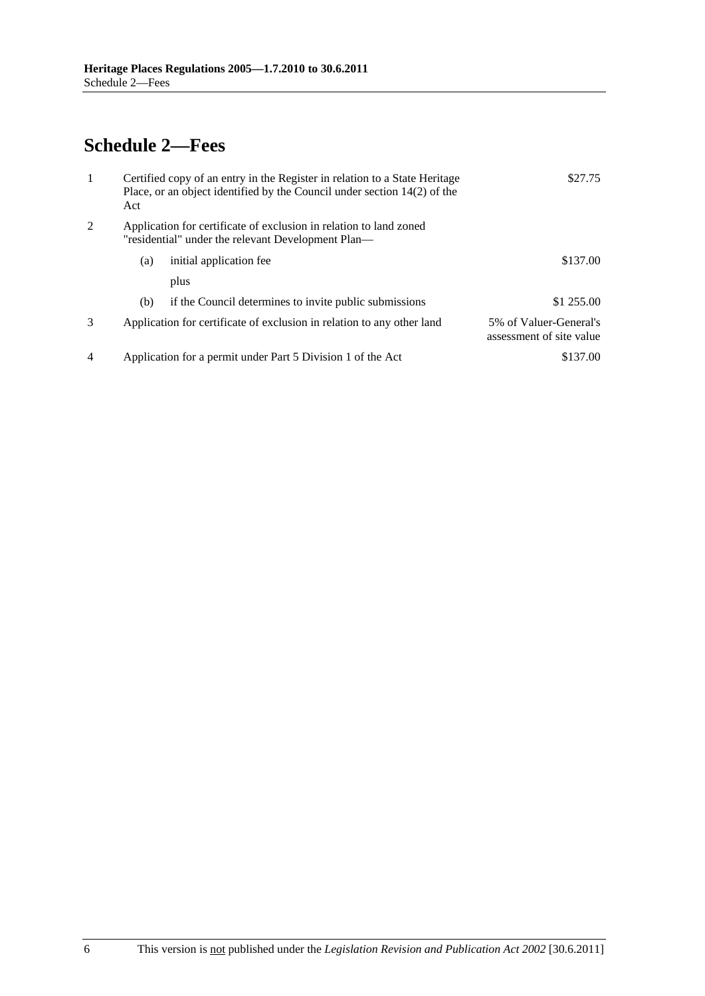# <span id="page-5-0"></span>**Schedule 2—Fees**

| $\mathbf{1}$   | Act | Certified copy of an entry in the Register in relation to a State Heritage<br>Place, or an object identified by the Council under section $14(2)$ of the | \$27.75                                            |
|----------------|-----|----------------------------------------------------------------------------------------------------------------------------------------------------------|----------------------------------------------------|
| 2              |     | Application for certificate of exclusion in relation to land zoned<br>"residential" under the relevant Development Plan—                                 |                                                    |
|                | (a) | initial application fee                                                                                                                                  | \$137.00                                           |
|                |     | plus                                                                                                                                                     |                                                    |
|                | (b) | if the Council determines to invite public submissions                                                                                                   | \$1 255.00                                         |
| 3              |     | Application for certificate of exclusion in relation to any other land                                                                                   | 5% of Valuer-General's<br>assessment of site value |
| $\overline{4}$ |     | Application for a permit under Part 5 Division 1 of the Act                                                                                              | \$137.00                                           |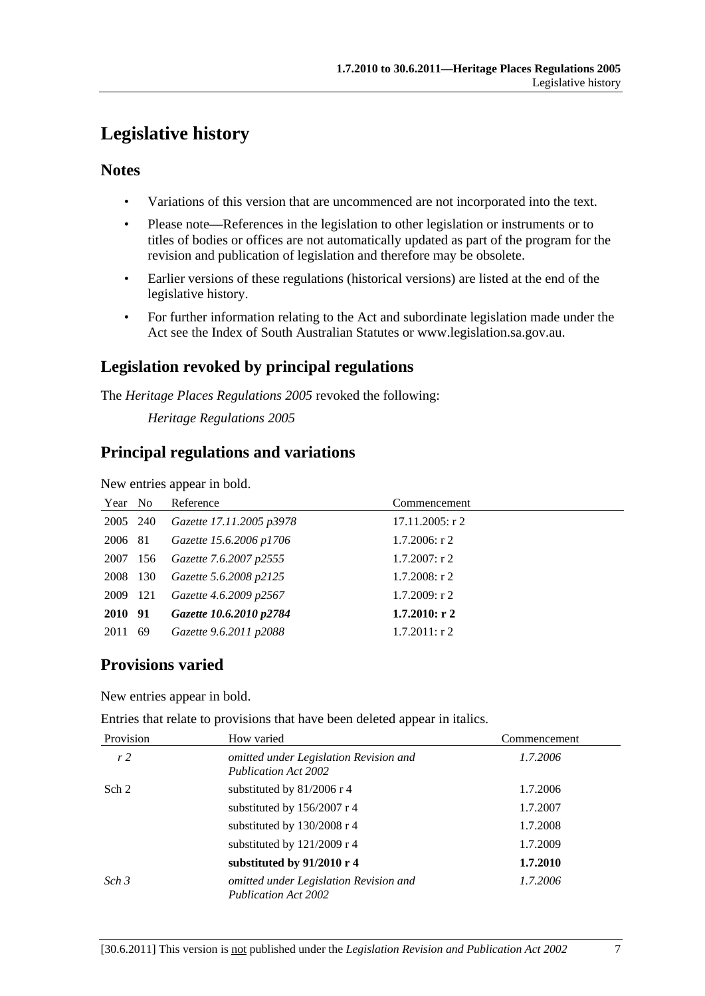# <span id="page-6-0"></span>**Legislative history**

# **Notes**

- Variations of this version that are uncommenced are not incorporated into the text.
- Please note—References in the legislation to other legislation or instruments or to titles of bodies or offices are not automatically updated as part of the program for the revision and publication of legislation and therefore may be obsolete.
- Earlier versions of these regulations (historical versions) are listed at the end of the legislative history.
- For further information relating to the Act and subordinate legislation made under the Act see the Index of South Australian Statutes or www.legislation.sa.gov.au.

# **Legislation revoked by principal regulations**

The *Heritage Places Regulations 2005* revoked the following:

*Heritage Regulations 2005*

# **Principal regulations and variations**

New entries appear in bold.

| Year No  |     | Reference                | Commencement       |
|----------|-----|--------------------------|--------------------|
| 2005 240 |     | Gazette 17.11.2005 p3978 | $17.11.2005$ : r 2 |
| 2006 81  |     | Gazette 15.6.2006 p1706  | $1.7.2006$ : r 2   |
| 2007 156 |     | Gazette 7.6.2007 p2555   | $1.7.2007$ : r 2   |
| 2008 130 |     | Gazette 5.6.2008 p2125   | $1.7.2008$ : r 2   |
| 2009 121 |     | Gazette 4.6.2009 p2567   | $1.7.2009$ : r 2   |
| 2010 91  |     | Gazette 10.6.2010 p2784  | $1.7.2010:$ r 2    |
| 2011     | -69 | Gazette 9.6.2011 p2088   | $1.7.2011:$ r 2    |

# **Provisions varied**

New entries appear in bold.

Entries that relate to provisions that have been deleted appear in italics.

| Provision        | How varied                                                            | Commencement |
|------------------|-----------------------------------------------------------------------|--------------|
| r <sub>2</sub>   | omitted under Legislation Revision and<br><b>Publication Act 2002</b> | 1.7.2006     |
| Sch 2            | substituted by $81/2006$ r 4                                          | 1.7.2006     |
|                  | substituted by 156/2007 r 4                                           | 1.7.2007     |
|                  | substituted by 130/2008 r 4                                           | 1.7.2008     |
|                  | substituted by $121/2009$ r 4                                         | 1.7.2009     |
|                  | substituted by 91/2010 r 4                                            | 1.7.2010     |
| Sch <sub>3</sub> | omitted under Legislation Revision and<br><b>Publication Act 2002</b> | 1.7.2006     |